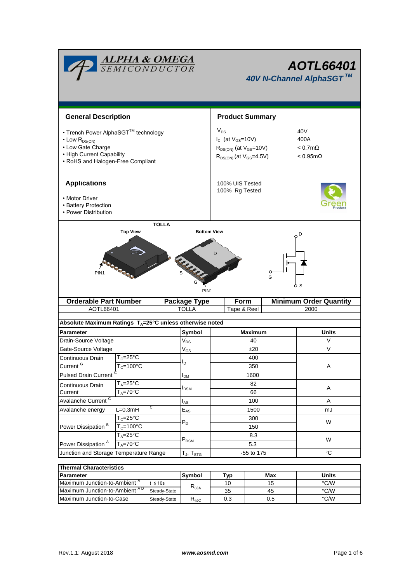| <b>ALPHA &amp; OMEGA</b><br>SEMICONDUCTOR                                                                                                              |                                               |                           |                            | <b>AOTL66401</b><br>40V N-Channel AlphaSGT™                                                                                                                                         |                |              |                               |  |  |
|--------------------------------------------------------------------------------------------------------------------------------------------------------|-----------------------------------------------|---------------------------|----------------------------|-------------------------------------------------------------------------------------------------------------------------------------------------------------------------------------|----------------|--------------|-------------------------------|--|--|
| <b>General Description</b>                                                                                                                             |                                               |                           | <b>Product Summary</b>     |                                                                                                                                                                                     |                |              |                               |  |  |
|                                                                                                                                                        |                                               |                           |                            |                                                                                                                                                                                     |                |              |                               |  |  |
| • Trench Power AlphaSGT™ technology<br>$\cdot$ Low $R_{DS(ON)}$<br>• Low Gate Charge<br>• High Current Capability<br>• RoHS and Halogen-Free Compliant |                                               |                           |                            | $V_{DS}$<br>40 <sub>V</sub><br>$I_D$ (at $V_{GS}$ =10V)<br>400A<br>$R_{DS(ON)}$ (at $V_{GS}$ =10V)<br>$< 0.7$ m $\Omega$<br>$R_{DS(ON)}$ (at $V_{GS}$ =4.5V)<br>$< 0.95$ m $\Omega$ |                |              |                               |  |  |
| <b>Applications</b>                                                                                                                                    |                                               |                           |                            | 100% UIS Tested<br>100% Rg Tested                                                                                                                                                   |                |              |                               |  |  |
| • Motor Driver<br>• Battery Protection<br>• Power Distribution                                                                                         |                                               |                           |                            |                                                                                                                                                                                     |                |              |                               |  |  |
|                                                                                                                                                        |                                               | <b>TOLLA</b>              |                            |                                                                                                                                                                                     |                |              |                               |  |  |
| D<br>PIN <sub>1</sub><br>o<br>G<br>PIN <sub>1</sub>                                                                                                    |                                               |                           |                            |                                                                                                                                                                                     |                |              |                               |  |  |
|                                                                                                                                                        | <b>Orderable Part Number</b>                  |                           | <b>Package Type</b>        |                                                                                                                                                                                     | Form           |              | <b>Minimum Order Quantity</b> |  |  |
| AOTL66401                                                                                                                                              |                                               |                           | <b>TOLLA</b>               | Tape & Reel                                                                                                                                                                         |                |              | 2000                          |  |  |
| Absolute Maximum Ratings T <sub>A</sub> =25°C unless otherwise noted                                                                                   |                                               |                           |                            |                                                                                                                                                                                     |                |              |                               |  |  |
| Parameter                                                                                                                                              |                                               |                           | Symbol                     | <b>Maximum</b>                                                                                                                                                                      |                | <b>Units</b> |                               |  |  |
| Drain-Source Voltage                                                                                                                                   |                                               |                           | $V_{DS}$                   |                                                                                                                                                                                     | 40             |              | V                             |  |  |
| Gate-Source Voltage                                                                                                                                    |                                               |                           | $\mathsf{V}_{\mathsf{GS}}$ | ±20                                                                                                                                                                                 |                | $\vee$       |                               |  |  |
| Continuous Drain                                                                                                                                       | $T_c = 25\overline{C}$                        |                           | I <sub>D</sub>             |                                                                                                                                                                                     | 400            |              |                               |  |  |
|                                                                                                                                                        | Current <sup>G</sup><br>$T_c = 100^{\circ}$ C |                           |                            |                                                                                                                                                                                     | 350            |              | Α                             |  |  |
| <b>Pulsed Drain Current</b>                                                                                                                            |                                               |                           | <b>I</b> <sub>DM</sub>     |                                                                                                                                                                                     | 1600           |              |                               |  |  |
| Continuous Drain                                                                                                                                       | $T_A = 25$ °C<br>$T_A = 70^\circ C$           |                           | <b>I</b> <sub>DSM</sub>    |                                                                                                                                                                                     | 82             |              | A                             |  |  |
| Current                                                                                                                                                |                                               |                           |                            |                                                                                                                                                                                     | 66             |              |                               |  |  |
| Avalanche Current <sup>C</sup><br>С                                                                                                                    |                                               | $I_{AS}$                  | 100                        |                                                                                                                                                                                     |                | A            |                               |  |  |
| Avalanche energy                                                                                                                                       | $L=0.3mH$<br>$T_c = 25$ °C                    |                           | $E_{AS}$                   |                                                                                                                                                                                     | 1500           |              | mJ                            |  |  |
| Power Dissipation <sup>B</sup>                                                                                                                         | $T_c = 100$ °C                                |                           | $P_D$                      | 300<br>150                                                                                                                                                                          |                |              | W                             |  |  |
|                                                                                                                                                        | $T_A = 25^\circ C$                            |                           |                            | 8.3                                                                                                                                                                                 |                |              |                               |  |  |
| $T_A = 70^\circ C$<br>Power Dissipation <sup>A</sup>                                                                                                   |                                               | $\mathsf{P}_\mathsf{DSM}$ | 5.3                        |                                                                                                                                                                                     |                | W            |                               |  |  |
| Junction and Storage Temperature Range                                                                                                                 |                                               | $T_J$ , $T_{STG}$         | -55 to 175                 |                                                                                                                                                                                     | °C             |              |                               |  |  |
|                                                                                                                                                        |                                               |                           |                            |                                                                                                                                                                                     |                |              |                               |  |  |
| <b>Thermal Characteristics</b>                                                                                                                         |                                               |                           |                            |                                                                                                                                                                                     |                |              |                               |  |  |
|                                                                                                                                                        |                                               |                           | Symbol                     |                                                                                                                                                                                     | T <sub>1</sub> | Mov          | <b>Ilnite</b>                 |  |  |

| <b>Thermal Characteristics</b> |              |                                  |     |       |      |  |  |  |
|--------------------------------|--------------|----------------------------------|-----|-------|------|--|--|--|
| <b>Parameter</b>               | lSvmbol      | Typ                              | Max | Units |      |  |  |  |
| Maximum Junction-to-Ambient "  | $\leq 10s$   |                                  | 10  | 15    | °C/W |  |  |  |
| Maximum Junction-to-Ambient AD | Steady-State | $\mathsf{R}_{\theta\mathsf{JA}}$ | 35  | 45    | °C/W |  |  |  |
| Maximum Junction-to-Case       | Steady-State | $\mathsf{R}_{\text{0JC}}$        | 0.3 | 0.5   | °C/W |  |  |  |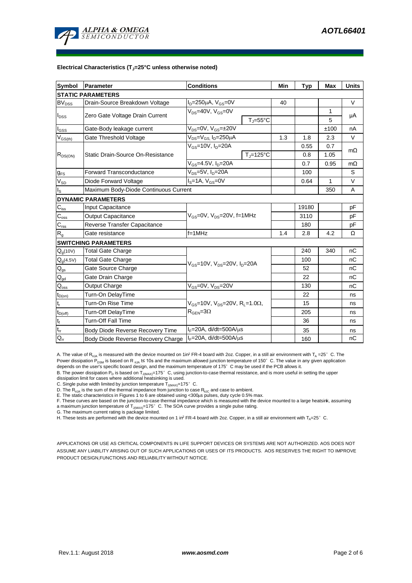

#### **Electrical Characteristics (TJ=25°C unless otherwise noted)**

| Symbol                                 | Parameter                             | <b>Conditions</b>                                                                          | Min               | <b>Typ</b> | <b>Max</b> | <b>Units</b> |           |  |  |
|----------------------------------------|---------------------------------------|--------------------------------------------------------------------------------------------|-------------------|------------|------------|--------------|-----------|--|--|
| <b>STATIC PARAMETERS</b>               |                                       |                                                                                            |                   |            |            |              |           |  |  |
| <b>BV<sub>DSS</sub></b>                | Drain-Source Breakdown Voltage        | $I_D = 250 \mu A$ , $V_{GS} = 0V$                                                          |                   | 40         |            |              | $\vee$    |  |  |
| $I_{\text{DSS}}$                       |                                       | $V_{DS}$ =40V, $V_{GS}$ =0V                                                                |                   |            | 1          |              |           |  |  |
|                                        | Zero Gate Voltage Drain Current       |                                                                                            | $T = 55^{\circ}C$ |            |            | 5            | μA        |  |  |
| $I_{GSS}$                              | Gate-Body leakage current             | V <sub>DS</sub> =0V, V <sub>GS</sub> =±20V                                                 |                   |            |            | ±100         | nA        |  |  |
| $V_{GS(th)}$                           | Gate Threshold Voltage                | $\overline{V_{DS}}$ = $V_{GS}$ , I <sub>D</sub> =250µA                                     | 1.3               | 1.8        | 2.3        | $\vee$       |           |  |  |
| $R_{DS(ON)}$                           | Static Drain-Source On-Resistance     | $V_{GS}$ =10V, $I_D$ =20A                                                                  |                   |            | 0.55       | 0.7          | $m\Omega$ |  |  |
|                                        |                                       |                                                                                            | $T_i = 125$ °C    |            | 0.8        | 1.05         |           |  |  |
|                                        |                                       | $V_{GS} = 4.5V, I_D = 20A$                                                                 |                   |            | 0.7        | 0.95         | $m\Omega$ |  |  |
| $g_{FS}$                               | <b>Forward Transconductance</b>       | V <sub>DS</sub> =5V, I <sub>D</sub> =20A                                                   |                   | 100        |            | S            |           |  |  |
| $V_{SD}$                               | Diode Forward Voltage                 | l <sub>s</sub> =1A, V <sub>GS</sub> =0V                                                    |                   | 0.64       | 1          | $\vee$       |           |  |  |
| ls.                                    | Maximum Body-Diode Continuous Current |                                                                                            |                   |            | 350        | A            |           |  |  |
|                                        | <b>DYNAMIC PARAMETERS</b>             |                                                                                            |                   |            |            |              |           |  |  |
| $C_{iss}$                              | <b>Input Capacitance</b>              |                                                                                            |                   |            | 19180      |              | рF        |  |  |
| $C_{\rm oss}$                          | Output Capacitance                    | $V_{GS}$ =0V, $V_{DS}$ =20V, f=1MHz                                                        |                   | 3110       |            | рF           |           |  |  |
| $C_{\text{rss}}$                       | Reverse Transfer Capacitance          |                                                                                            |                   | 180        |            | pF           |           |  |  |
| $\mathsf{R}_{\mathsf{g}}$              | Gate resistance                       | $f = 1$ MHz                                                                                | 1.4               | 2.8        | 4.2        | Ω            |           |  |  |
|                                        | <b>SWITCHING PARAMETERS</b>           |                                                                                            |                   |            |            |              |           |  |  |
| $Q_q(10V)$                             | <b>Total Gate Charge</b>              | $V_{GS}$ =10V, $V_{DS}$ =20V, $I_{D}$ =20A                                                 |                   |            | 240        | 340          | nC        |  |  |
| $Q_g(4.5V)$                            | <b>Total Gate Charge</b>              |                                                                                            |                   |            | 100        |              | nC        |  |  |
| $\mathsf{Q}_{\mathsf{gs}}$             | Gate Source Charge                    |                                                                                            |                   |            | 52         |              | nC        |  |  |
| $\mathsf{Q}_{\underline{\mathsf{gd}}}$ | Gate Drain Charge                     |                                                                                            |                   | 22         |            | nC           |           |  |  |
| $\mathsf{Q}_{\text{oss}}$              | Output Charge                         | $V_{GS}$ =0V, $V_{DS}$ =20V                                                                |                   |            | 130        |              | nC        |  |  |
| $t_{D(0n)}$                            | Turn-On DelayTime                     |                                                                                            |                   |            | 22         |              | ns        |  |  |
| $t_r$                                  | Turn-On Rise Time                     | $V_{GS}$ =10V, $V_{DS}$ =20V, R <sub>L</sub> =1.0 $\Omega$ ,<br>$R_{\text{GEN}} = 3\Omega$ |                   |            | 15         |              | ns        |  |  |
| $t_{D(off)}$                           | Turn-Off DelayTime                    |                                                                                            |                   |            | 205        |              | ns        |  |  |
| $\mathsf{t}_{\mathsf{f}}$              | <b>Turn-Off Fall Time</b>             |                                                                                            |                   |            | 36         |              | ns        |  |  |
| $\mathfrak{t}_{\text{rr}}$             | Body Diode Reverse Recovery Time      | $I_F = 20A$ , di/dt=500A/ $\mu$ s                                                          |                   |            | 35         |              | ns        |  |  |
| $Q_{rr}$                               | Body Diode Reverse Recovery Charge    | $I_F = 20A$ , di/dt=500A/ $\mu$ s                                                          |                   |            | 160        |              | nC        |  |  |

A. The value of R<sub>0JA</sub> is measured with the device mounted on 1in<sup>2</sup> FR-4 board with 2oz. Copper, in a still air environment with T<sub>A</sub> =25°C. The Power dissipation P<sub>DSM</sub> is based on R <sub>0JA</sub> t≤ 10s and the maximum allowed junction temperature of 150°C. The value in any given application

depends on the user's specific board design, and the maximum temperature of 175°C may be used if the PCB allows it.

B. The power dissipation  $P_D$  is based on  $T_{J(MAX)}=175^\circ$  C, using junction-to-case thermal resistance, and is more useful in setting the upper dissipation limit for cases where additional heatsinking is used.

C. Single pulse width limited by junction temperature  $\overline{T}_{J(MAX)}$ =175°C.

D. The  $R_{\theta_0 A}$  is the sum of the thermal impedance from junction to case  $R_{\theta_0 C}$  and case to ambient.

E. The static characteristics in Figures 1 to 6 are obtained using <300μs pulses, duty cycle 0.5% max.<br>F. These curves are based on the junction-to-case thermal impedance which is measured with the device mounted to a larg a maximum junction temperature of  $T_{J(MAX)}$ =175°C. The SOA curve provides a single pulse rating.

G. The maximum current rating is package limited.

H. These tests are performed with the device mounted on 1 in<sup>2</sup> FR-4 board with 2oz. Copper, in a still air environment with T<sub>A</sub>=25°C.

APPLICATIONS OR USE AS CRITICAL COMPONENTS IN LIFE SUPPORT DEVICES OR SYSTEMS ARE NOT AUTHORIZED. AOS DOES NOT ASSUME ANY LIABILITY ARISING OUT OF SUCH APPLICATIONS OR USES OF ITS PRODUCTS. AOS RESERVES THE RIGHT TO IMPROVE PRODUCT DESIGN,FUNCTIONS AND RELIABILITY WITHOUT NOTICE.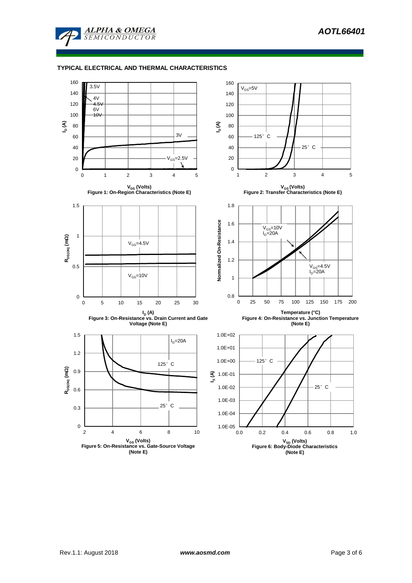

# **TYPICAL ELECTRICAL AND THERMAL CHARACTERISTICS**

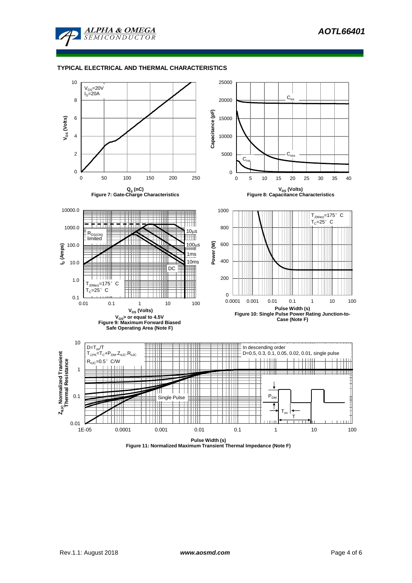

# **TYPICAL ELECTRICAL AND THERMAL CHARACTERISTICS**



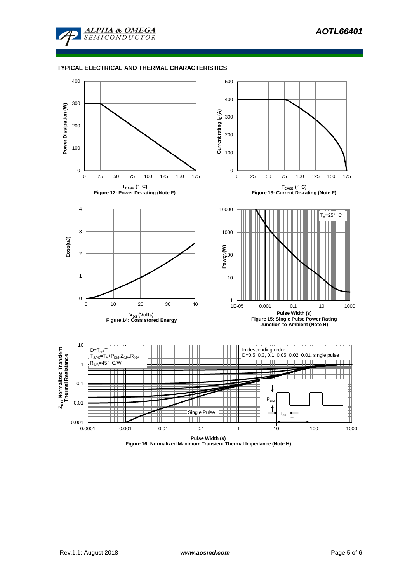

### **TYPICAL ELECTRICAL AND THERMAL CHARACTERISTICS**